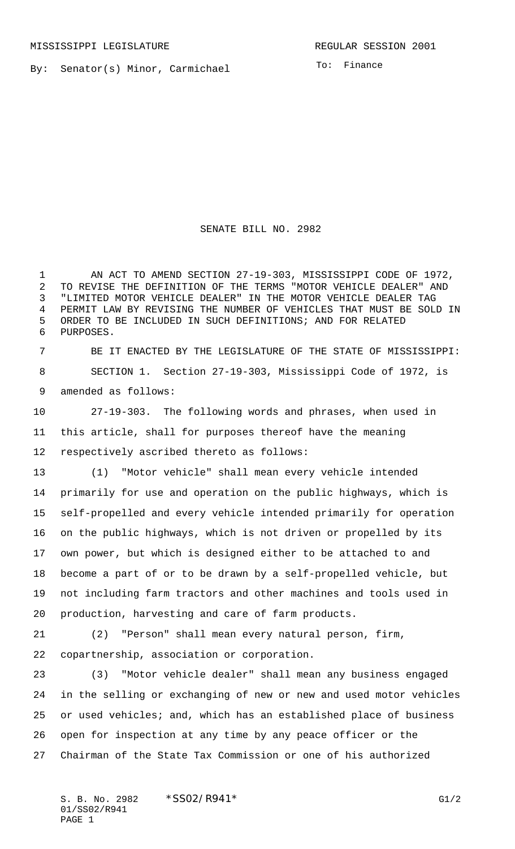By: Senator(s) Minor, Carmichael

To: Finance

## SENATE BILL NO. 2982

1 AN ACT TO AMEND SECTION 27-19-303, MISSISSIPPI CODE OF 1972, TO REVISE THE DEFINITION OF THE TERMS "MOTOR VEHICLE DEALER" AND "LIMITED MOTOR VEHICLE DEALER" IN THE MOTOR VEHICLE DEALER TAG PERMIT LAW BY REVISING THE NUMBER OF VEHICLES THAT MUST BE SOLD IN ORDER TO BE INCLUDED IN SUCH DEFINITIONS; AND FOR RELATED PURPOSES.

 BE IT ENACTED BY THE LEGISLATURE OF THE STATE OF MISSISSIPPI: SECTION 1. Section 27-19-303, Mississippi Code of 1972, is amended as follows:

 27-19-303. The following words and phrases, when used in this article, shall for purposes thereof have the meaning respectively ascribed thereto as follows:

 (1) "Motor vehicle" shall mean every vehicle intended primarily for use and operation on the public highways, which is self-propelled and every vehicle intended primarily for operation on the public highways, which is not driven or propelled by its own power, but which is designed either to be attached to and become a part of or to be drawn by a self-propelled vehicle, but not including farm tractors and other machines and tools used in production, harvesting and care of farm products.

(2) "Person" shall mean every natural person, firm,

copartnership, association or corporation.

 (3) "Motor vehicle dealer" shall mean any business engaged in the selling or exchanging of new or new and used motor vehicles or used vehicles; and, which has an established place of business open for inspection at any time by any peace officer or the Chairman of the State Tax Commission or one of his authorized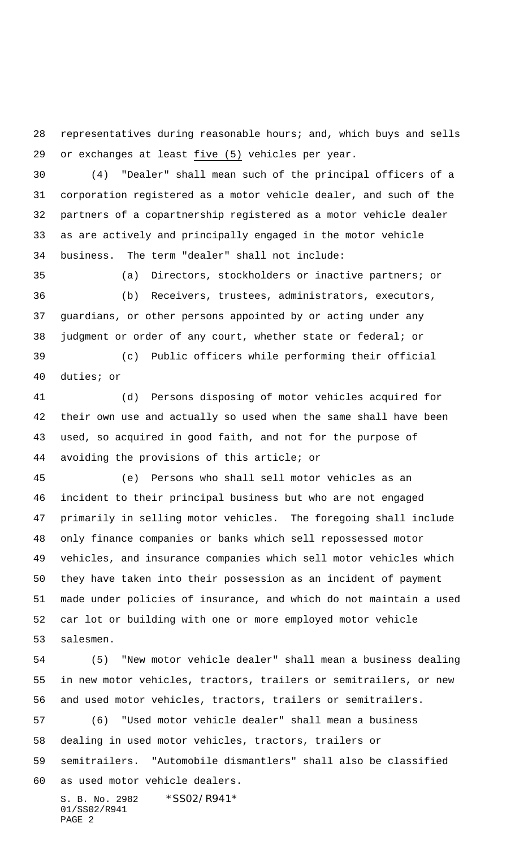representatives during reasonable hours; and, which buys and sells or exchanges at least five (5) vehicles per year.

 (4) "Dealer" shall mean such of the principal officers of a corporation registered as a motor vehicle dealer, and such of the partners of a copartnership registered as a motor vehicle dealer as are actively and principally engaged in the motor vehicle business. The term "dealer" shall not include:

 (a) Directors, stockholders or inactive partners; or (b) Receivers, trustees, administrators, executors, guardians, or other persons appointed by or acting under any judgment or order of any court, whether state or federal; or

 (c) Public officers while performing their official duties; or

 (d) Persons disposing of motor vehicles acquired for their own use and actually so used when the same shall have been used, so acquired in good faith, and not for the purpose of avoiding the provisions of this article; or

 (e) Persons who shall sell motor vehicles as an incident to their principal business but who are not engaged primarily in selling motor vehicles. The foregoing shall include only finance companies or banks which sell repossessed motor vehicles, and insurance companies which sell motor vehicles which they have taken into their possession as an incident of payment made under policies of insurance, and which do not maintain a used car lot or building with one or more employed motor vehicle salesmen.

 (5) "New motor vehicle dealer" shall mean a business dealing in new motor vehicles, tractors, trailers or semitrailers, or new and used motor vehicles, tractors, trailers or semitrailers.

 (6) "Used motor vehicle dealer" shall mean a business dealing in used motor vehicles, tractors, trailers or semitrailers. "Automobile dismantlers" shall also be classified as used motor vehicle dealers.

S. B. No. 2982 \*SS02/R941\* 01/SS02/R941 PAGE 2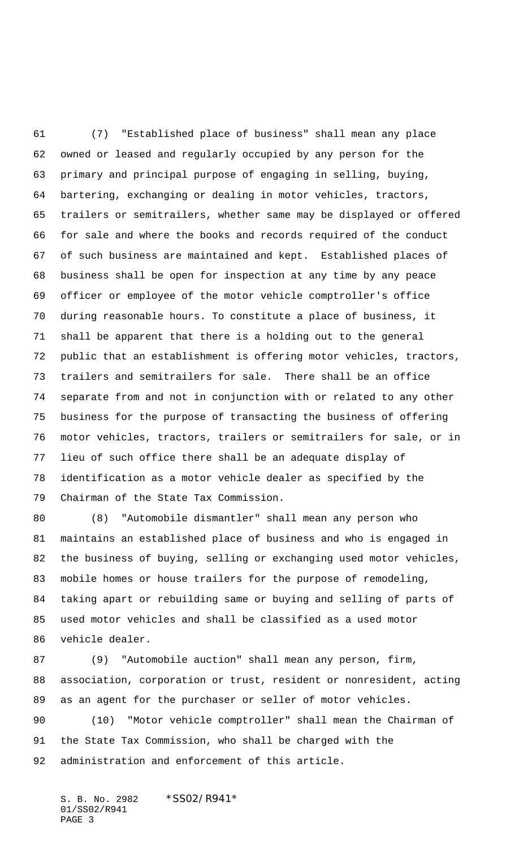(7) "Established place of business" shall mean any place owned or leased and regularly occupied by any person for the primary and principal purpose of engaging in selling, buying, bartering, exchanging or dealing in motor vehicles, tractors, trailers or semitrailers, whether same may be displayed or offered for sale and where the books and records required of the conduct of such business are maintained and kept. Established places of business shall be open for inspection at any time by any peace officer or employee of the motor vehicle comptroller's office during reasonable hours. To constitute a place of business, it shall be apparent that there is a holding out to the general public that an establishment is offering motor vehicles, tractors, trailers and semitrailers for sale. There shall be an office separate from and not in conjunction with or related to any other business for the purpose of transacting the business of offering motor vehicles, tractors, trailers or semitrailers for sale, or in lieu of such office there shall be an adequate display of identification as a motor vehicle dealer as specified by the Chairman of the State Tax Commission.

 (8) "Automobile dismantler" shall mean any person who maintains an established place of business and who is engaged in the business of buying, selling or exchanging used motor vehicles, mobile homes or house trailers for the purpose of remodeling, taking apart or rebuilding same or buying and selling of parts of used motor vehicles and shall be classified as a used motor vehicle dealer.

 (9) "Automobile auction" shall mean any person, firm, association, corporation or trust, resident or nonresident, acting as an agent for the purchaser or seller of motor vehicles. (10) "Motor vehicle comptroller" shall mean the Chairman of the State Tax Commission, who shall be charged with the administration and enforcement of this article.

S. B. No. 2982 \*SS02/R941\* 01/SS02/R941 PAGE 3